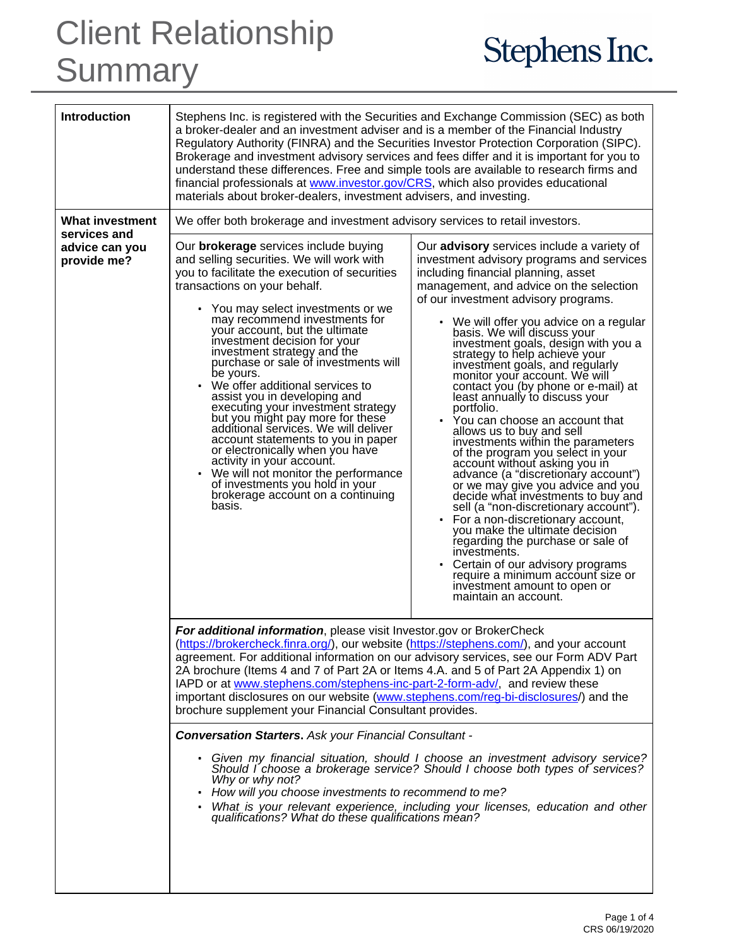## Client Relationship **Summary**

## Stephens Inc.

| <b>Introduction</b><br><b>What investment</b> | Stephens Inc. is registered with the Securities and Exchange Commission (SEC) as both<br>a broker-dealer and an investment adviser and is a member of the Financial Industry<br>Regulatory Authority (FINRA) and the Securities Investor Protection Corporation (SIPC).<br>Brokerage and investment advisory services and fees differ and it is important for you to<br>understand these differences. Free and simple tools are available to research firms and<br>financial professionals at www.investor.gov/CRS, which also provides educational<br>materials about broker-dealers, investment advisers, and investing.<br>We offer both brokerage and investment advisory services to retail investors.                                                                                                                 |                                                                                                                                                                                                                                                                                                                                                                                                                                                                                                                                                                                                                                                                                                                                                                                                                                                                                                                                                                                                                                                                                                                                     |
|-----------------------------------------------|-----------------------------------------------------------------------------------------------------------------------------------------------------------------------------------------------------------------------------------------------------------------------------------------------------------------------------------------------------------------------------------------------------------------------------------------------------------------------------------------------------------------------------------------------------------------------------------------------------------------------------------------------------------------------------------------------------------------------------------------------------------------------------------------------------------------------------|-------------------------------------------------------------------------------------------------------------------------------------------------------------------------------------------------------------------------------------------------------------------------------------------------------------------------------------------------------------------------------------------------------------------------------------------------------------------------------------------------------------------------------------------------------------------------------------------------------------------------------------------------------------------------------------------------------------------------------------------------------------------------------------------------------------------------------------------------------------------------------------------------------------------------------------------------------------------------------------------------------------------------------------------------------------------------------------------------------------------------------------|
| services and                                  |                                                                                                                                                                                                                                                                                                                                                                                                                                                                                                                                                                                                                                                                                                                                                                                                                             |                                                                                                                                                                                                                                                                                                                                                                                                                                                                                                                                                                                                                                                                                                                                                                                                                                                                                                                                                                                                                                                                                                                                     |
| advice can you<br>provide me?                 | Our <b>brokerage</b> services include buying<br>and selling securities. We will work with<br>you to facilitate the execution of securities<br>transactions on your behalf.<br>• You may select investments or we<br>may recommend investments for<br>your account, but the ultimate<br>investment decision for your<br>investment strategy and the<br>purchase or sale of investments will<br>be yours.<br>We offer additional services to<br>assist you in developing and<br>executing your investment strategy<br>but you might pay more for these<br>additional services. We will deliver<br>account statements to you in paper<br>or electronically when you have<br>activity in your account.<br>We will not monitor the performance<br>of investments you hold in your<br>brokerage account on a continuing<br>basis. | Our advisory services include a variety of<br>investment advisory programs and services<br>including financial planning, asset<br>management, and advice on the selection<br>of our investment advisory programs.<br>• We will offer you advice on a regular<br>basis. We will discuss your<br>investment goals, design with you a<br>strategy to help achieve your<br>investment goals, and regularly<br>monitor your account. We will<br>contact you (by phone or e-mail) at<br>least annually to discuss your<br>portfolio.<br>• You can choose an account that<br>allows us to buy and sell<br>investments within the parameters<br>of the program you select in your<br>account without asking you in<br>advance (a "discretionary account")<br>or we may give you advice and you<br>decide what investments to buy and<br>sell (a "non-discretionary account").<br>• For a non-discretionary account,<br>you make the ultimate decision<br>regarding the purchase or sale of<br>investments.<br>Certain of our advisory programs<br>require a minimum account size or<br>investment amount to open or<br>maintain an account. |
|                                               | For additional information, please visit Investor.gov or BrokerCheck<br>(https://brokercheck.finra.org/), our website (https://stephens.com/), and your account<br>agreement. For additional information on our advisory services, see our Form ADV Part<br>2A brochure (Items 4 and 7 of Part 2A or Items 4.A. and 5 of Part 2A Appendix 1) on<br>IAPD or at www.stephens.com/stephens-inc-part-2-form-adv/, and review these<br>important disclosures on our website (www.stephens.com/req-bi-disclosures/) and the<br>brochure supplement your Financial Consultant provides.                                                                                                                                                                                                                                            |                                                                                                                                                                                                                                                                                                                                                                                                                                                                                                                                                                                                                                                                                                                                                                                                                                                                                                                                                                                                                                                                                                                                     |
|                                               | <b>Conversation Starters.</b> Ask your Financial Consultant -                                                                                                                                                                                                                                                                                                                                                                                                                                                                                                                                                                                                                                                                                                                                                               |                                                                                                                                                                                                                                                                                                                                                                                                                                                                                                                                                                                                                                                                                                                                                                                                                                                                                                                                                                                                                                                                                                                                     |
|                                               | • Given my financial situation, should I choose an investment advisory service?<br>Should l'choose a brokerage service? Should I choose both types of services?<br>Why or why not?<br>• How will you choose investments to recommend to me?<br>• What is your relevant experience, including your licenses, education and other<br>qualifications? What do these qualifications mean?                                                                                                                                                                                                                                                                                                                                                                                                                                       |                                                                                                                                                                                                                                                                                                                                                                                                                                                                                                                                                                                                                                                                                                                                                                                                                                                                                                                                                                                                                                                                                                                                     |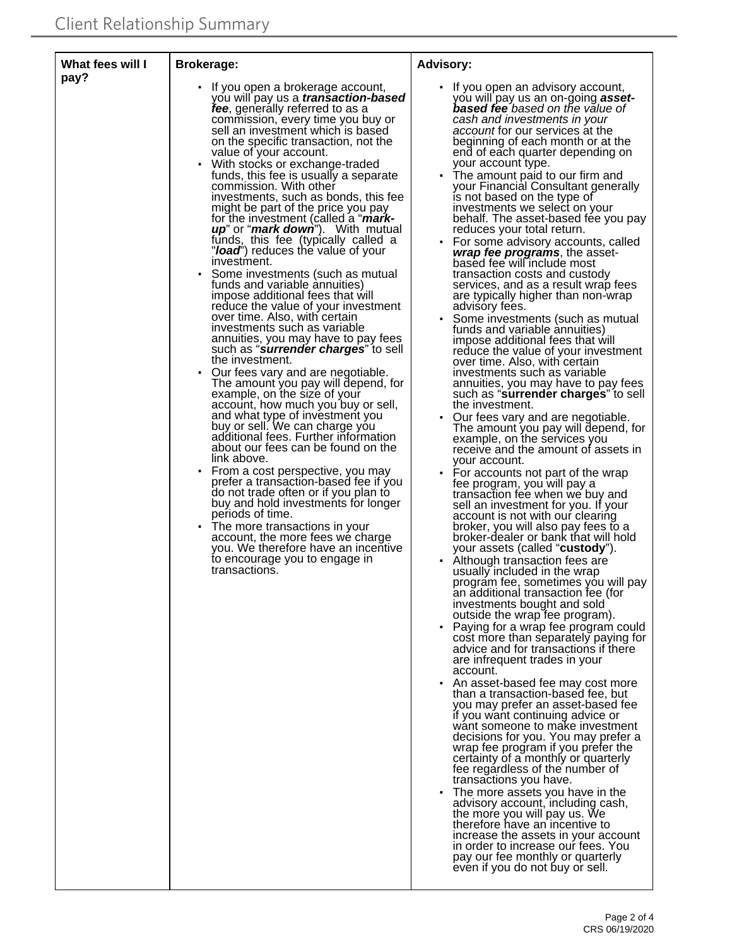| What fees will I<br>pay? | <b>Brokerage:</b>                                                                                                                                                                                                                                                                                                                                                                                                                                                                                                                                                                                                                                                                                                                                                                                                                                                                                                                                                                                                                                                                                                                                                                                                                                                                                                                                                                                                                                                                                                                                                                                                                     | <b>Advisory:</b>                                                                                                                                                                                                                                                                                                                                                                                                                                                                                                                                                                                                                                                                                                                                                                                                                                                                                                                                                                                                                                                                                                                                                                                                                                                                                                                                                                                                                                                                                                                                                                                                                                                                                                                                                                                                                                                                                                                                                                                                                                                                                                                                                                                                                                                                                                                                                                                                                                                                                                                                                                                    |
|--------------------------|---------------------------------------------------------------------------------------------------------------------------------------------------------------------------------------------------------------------------------------------------------------------------------------------------------------------------------------------------------------------------------------------------------------------------------------------------------------------------------------------------------------------------------------------------------------------------------------------------------------------------------------------------------------------------------------------------------------------------------------------------------------------------------------------------------------------------------------------------------------------------------------------------------------------------------------------------------------------------------------------------------------------------------------------------------------------------------------------------------------------------------------------------------------------------------------------------------------------------------------------------------------------------------------------------------------------------------------------------------------------------------------------------------------------------------------------------------------------------------------------------------------------------------------------------------------------------------------------------------------------------------------|-----------------------------------------------------------------------------------------------------------------------------------------------------------------------------------------------------------------------------------------------------------------------------------------------------------------------------------------------------------------------------------------------------------------------------------------------------------------------------------------------------------------------------------------------------------------------------------------------------------------------------------------------------------------------------------------------------------------------------------------------------------------------------------------------------------------------------------------------------------------------------------------------------------------------------------------------------------------------------------------------------------------------------------------------------------------------------------------------------------------------------------------------------------------------------------------------------------------------------------------------------------------------------------------------------------------------------------------------------------------------------------------------------------------------------------------------------------------------------------------------------------------------------------------------------------------------------------------------------------------------------------------------------------------------------------------------------------------------------------------------------------------------------------------------------------------------------------------------------------------------------------------------------------------------------------------------------------------------------------------------------------------------------------------------------------------------------------------------------------------------------------------------------------------------------------------------------------------------------------------------------------------------------------------------------------------------------------------------------------------------------------------------------------------------------------------------------------------------------------------------------------------------------------------------------------------------------------------------------|
|                          | If you open a brokerage account,<br>you will pay us a <i>transaction-based</i><br>fee, generally referred to as a<br>commission, every time you buy or<br>sell an investment which is based<br>on the specific transaction, not the<br>value of your account.<br>With stocks or exchange-traded<br>funds, this fee is usually a separate<br>commission. With other<br>investments, such as bonds, this fee<br>might be part of the price you pay<br>for the investment (called a " <i>mark-</i><br><i>up</i> " or " <i>mark down</i> "). With mutual<br>funds, this fee (typically called a<br>"load") reduces the value of your<br>investment.<br>Some investments (such as mutual<br>funds and variable annuities)<br>impose additional fees that will<br>reduce the value of your investment<br>over time. Also, with certain<br>investments such as variable<br>annuities, you may have to pay fees<br>such as "surrender charges" to sell<br>the investment.<br>Our fees vary and are negotiable.<br>The amount you pay will depend, for<br>example, on the size of your<br>account, how much you buy or sell,<br>and what type of investment you<br>buy or sell. We can charge you<br>additional fees. Further information<br>about our fees can be found on the<br>link above.<br>From a cost perspective, you may<br>prefer a transaction-based fee if you<br>do not trade often or if you plan to<br>buy and hold investments for longer<br>periods of time.<br>• The more transactions in your<br>account, the more fees we charge<br>you. We therefore have an incentive<br>to encourage you to engage in<br>transactions. | If you open an advisory account,<br>you will pay us an on-going <b>asset-</b><br><b>based fee</b> based on the value of<br>cash and investments in your<br>account for our services at the<br>beginning of each month or at the<br>end of each quarter depending on<br>your account type.<br>The amount paid to our firm and<br>your Financial Consultant generally<br>is not based on the type of<br>investments we select on your<br>behalf. The asset-based fee you pay<br>reduces your total return.<br>• For some advisory accounts, called<br>wrap fee programs, the asset-<br>based fee will include most<br>transaction costs and custody<br>services, and as a result wrap fees<br>are typically higher than non-wrap<br>advisory fees.<br>Some investments (such as mutual<br>funds and variable annuities)<br>impose additional fees that will<br>reduce the value of your investment<br>over time. Also, with certain<br>investments such as variable<br>annuities, you may have to pay fees<br>such as "surrender charges" to sell<br>the investment.<br>Our fees vary and are negotiable.<br>The amount you pay will depend, for<br>example, on the services you<br>receive and the amount of assets in<br>your account.<br>• For accounts not part of the wrap<br>fee program, you will pay a<br>transaction fee when we buy and<br>sell an investment for you. If your<br>account is not with our clearing<br>broker, you will also pay fees to a<br>broker-dealer or bank that will hold<br>your assets (called "custody").<br>Although transaction fees are<br>usually included in the wrap<br>program fee, sometimes you will pay<br>an additional transaction fee (for<br>investments bought and sold<br>outside the wrap fee program).<br>Paying for a wrap fee program could<br>cost more than separately paying for<br>advice and for transactions if there<br>are infrequent trades in your<br>account.<br>An asset-based fee may cost more<br>than a transaction-based fee, but<br>you may prefer an asset-based fee<br>if you want continuing advice or<br>want someone to make investment<br>decisions for you. You may prefer a<br>wrap fee program if you prefer the<br>certainty of a monthly or quarterly<br>fee regardless of the number of<br>transactions you have.<br>The more assets you have in the<br>advisory account, including cash,<br>the more you will pay us. We<br>therefore have an incentive to<br>increase the assets in your account<br>in order to increase our fees. You<br>pay our fee monthly or quarterly<br>even if you do not buy or sell. |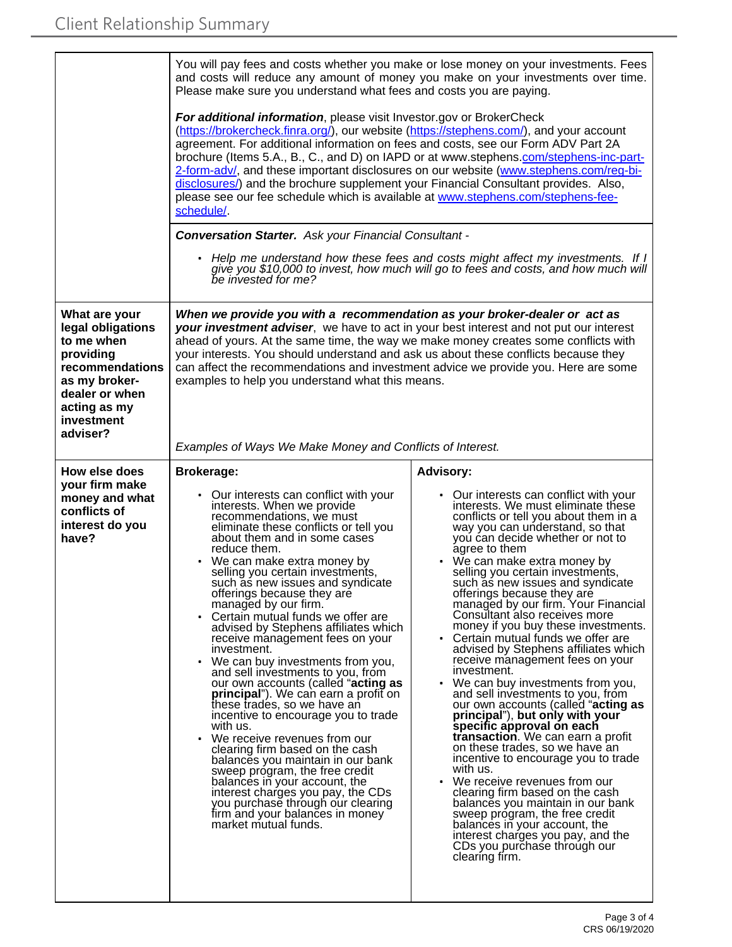|                                                                                                                                                               | You will pay fees and costs whether you make or lose money on your investments. Fees<br>and costs will reduce any amount of money you make on your investments over time.<br>Please make sure you understand what fees and costs you are paying.                                                                                                                                                                                                                                                                                                                                                                                                                                                                                                                                                                                                                                                                                                                                                                                                 |                                                                                                                                                                                                                                                                                                                                                                                                                                                                                                                                                                                                                                                                                                                                                                                                                                                                                                                                                                                                                                                                                                                                                                                 |  |
|---------------------------------------------------------------------------------------------------------------------------------------------------------------|--------------------------------------------------------------------------------------------------------------------------------------------------------------------------------------------------------------------------------------------------------------------------------------------------------------------------------------------------------------------------------------------------------------------------------------------------------------------------------------------------------------------------------------------------------------------------------------------------------------------------------------------------------------------------------------------------------------------------------------------------------------------------------------------------------------------------------------------------------------------------------------------------------------------------------------------------------------------------------------------------------------------------------------------------|---------------------------------------------------------------------------------------------------------------------------------------------------------------------------------------------------------------------------------------------------------------------------------------------------------------------------------------------------------------------------------------------------------------------------------------------------------------------------------------------------------------------------------------------------------------------------------------------------------------------------------------------------------------------------------------------------------------------------------------------------------------------------------------------------------------------------------------------------------------------------------------------------------------------------------------------------------------------------------------------------------------------------------------------------------------------------------------------------------------------------------------------------------------------------------|--|
|                                                                                                                                                               | For additional information, please visit Investor.gov or BrokerCheck<br>(https://brokercheck.finra.org/), our website (https://stephens.com/), and your account<br>agreement. For additional information on fees and costs, see our Form ADV Part 2A<br>brochure (Items 5.A., B., C., and D) on IAPD or at www.stephens.com/stephens-inc-part-<br>2-form-adv/, and these important disclosures on our website (www.stephens.com/req-bi-<br>disclosures/) and the brochure supplement your Financial Consultant provides. Also,<br>please see our fee schedule which is available at www.stephens.com/stephens-fee-<br>schedule/                                                                                                                                                                                                                                                                                                                                                                                                                  |                                                                                                                                                                                                                                                                                                                                                                                                                                                                                                                                                                                                                                                                                                                                                                                                                                                                                                                                                                                                                                                                                                                                                                                 |  |
|                                                                                                                                                               | <b>Conversation Starter.</b> Ask your Financial Consultant -                                                                                                                                                                                                                                                                                                                                                                                                                                                                                                                                                                                                                                                                                                                                                                                                                                                                                                                                                                                     |                                                                                                                                                                                                                                                                                                                                                                                                                                                                                                                                                                                                                                                                                                                                                                                                                                                                                                                                                                                                                                                                                                                                                                                 |  |
|                                                                                                                                                               | be invested for me?                                                                                                                                                                                                                                                                                                                                                                                                                                                                                                                                                                                                                                                                                                                                                                                                                                                                                                                                                                                                                              | Help me understand how these fees and costs might affect my investments. If I<br>give you \$10,000 to invest, how much will go to fees and costs, and how much will                                                                                                                                                                                                                                                                                                                                                                                                                                                                                                                                                                                                                                                                                                                                                                                                                                                                                                                                                                                                             |  |
| What are your<br>legal obligations<br>to me when<br>providing<br>recommendations<br>as my broker-<br>dealer or when<br>acting as my<br>investment<br>adviser? | When we provide you with a recommendation as your broker-dealer or act as<br>your investment adviser, we have to act in your best interest and not put our interest<br>ahead of yours. At the same time, the way we make money creates some conflicts with<br>your interests. You should understand and ask us about these conflicts because they<br>can affect the recommendations and investment advice we provide you. Here are some<br>examples to help you understand what this means.<br>Examples of Ways We Make Money and Conflicts of Interest.                                                                                                                                                                                                                                                                                                                                                                                                                                                                                         |                                                                                                                                                                                                                                                                                                                                                                                                                                                                                                                                                                                                                                                                                                                                                                                                                                                                                                                                                                                                                                                                                                                                                                                 |  |
| How else does                                                                                                                                                 | <b>Brokerage:</b>                                                                                                                                                                                                                                                                                                                                                                                                                                                                                                                                                                                                                                                                                                                                                                                                                                                                                                                                                                                                                                | <b>Advisory:</b>                                                                                                                                                                                                                                                                                                                                                                                                                                                                                                                                                                                                                                                                                                                                                                                                                                                                                                                                                                                                                                                                                                                                                                |  |
| your firm make<br>money and what<br>conflicts of<br>interest do you<br>have?                                                                                  | • Our interests can conflict with your<br>interests. When we provide<br>recommendations, we must<br>eliminate these conflicts or tell you<br>about them and in some cases<br>reduce them.<br>We can make extra money by<br>selling you certain investments,<br>such as new issues and syndicate<br>offerings because they are<br>managed by our firm.<br>• Certain mutual funds we offer are<br>advised by Stephens affiliates which<br>receive management fees on your<br>investment.<br>We can buy investments from you,<br>and sell investments to you, from<br>our own accounts (called "acting as<br>principal"). We can earn a profit on<br>these trades, so we have an<br>incentive to encourage you to trade<br>with us.<br>We receive revenues from our<br>clearing firm based on the cash<br>balances you maintain in our bank<br>sweep program, the free credit<br>balances in your account, the<br>interest charges you pay, the CDs<br>you purchase through our clearing<br>firm and your balances in money<br>market mutual funds. | • Our interests can conflict with your<br>interests. We must eliminate these<br>conflicts or tell you about them in a<br>way you can understand, so that<br>you can decide whether or not to<br>agree to them<br>• We can make extra money by<br>selling you certain investments,<br>such as new issues and syndicate<br>offerings because they are<br>managed by our firm. Your Financial<br>Consultant also receives more<br>money if you buy these investments.<br>Certain mutual funds we offer are<br>advised by Stephens affiliates which<br>receive management fees on your<br>investment.<br>We can buy investments from you,<br>and sell investments to you, from<br>our own accounts (called "acting as<br>principal"), but only with your<br>specific approval on each<br>transaction. We can earn a profit<br>on these trades, so we have an<br>incentive to encourage you to trade<br>with us.<br>• We receive revenues from our<br>clearing firm based on the cash<br>balances you maintain in our bank<br>sweep program, the free credit<br>balances in your account, the<br>interest charges you pay, and the<br>CDs you purchase through our<br>clearing firm. |  |